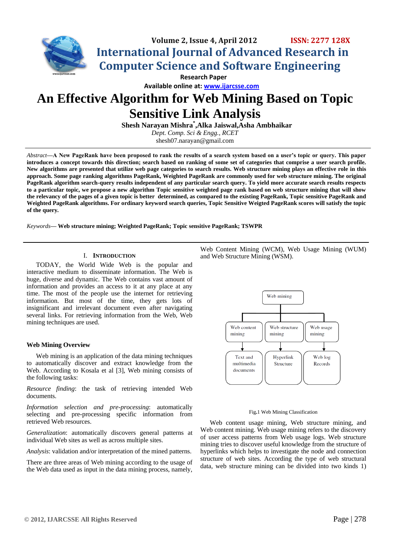

 **Available online at: [www.ijarcsse.com](http://www.ijarcsse.com/)**

# **An Effective Algorithm for Web Mining Based on Topic Sensitive Link Analysis**

**Shesh Narayan Mishra\* ,Alka Jaiswal,Asha Ambhaikar** *Dept. Comp. Sci & Engg., RCET*

shesh07.narayan@gmail.com

*Abstract***—A New PageRank have been proposed to rank the results of a search system based on a user's topic or query. This paper introduces a concept towards this direction; search based on ranking of some set of categories that comprise a user search profile. New algorithms are presented that utilize web page categories to search results. Web structure mining plays an effective role in this approach. Some page ranking algorithms PageRank, Weighted PageRank are commonly used for web structure mining. The original PageRank algorithm search-query results independent of any particular search query. To yield more accurate search results respects to a particular topic, we propose a new algorithm Topic sensitive weighted page rank based on web structure mining that will show the relevancy of the pages of a given topic is better determined, as compared to the existing PageRank, Topic sensitive PageRank and Weighted PageRank algorithms. For ordinary keyword search queries, Topic Sensitive Weigted PageRank scores will satisfy the topic of the query***.*

*Keywords***— Web structure mining; Weighted PageRank; Topic sensitive PageRank; TSWPR**

# I. **INTRODUCTION**

TODAY, the World Wide Web is the popular and interactive medium to disseminate information. The Web is huge, diverse and dynamic. The Web contains vast amount of information and provides an access to it at any place at any time. The most of the people use the internet for retrieving information. But most of the time, they gets lots of insignificant and irrelevant document even after navigating several links. For retrieving information from the Web, Web mining techniques are used.

# **Web Mining Overview**

Web mining is an application of the data mining techniques to automatically discover and extract knowledge from the Web. According to Kosala et al [3], Web mining consists of the following tasks:

*Resource finding*: the task of retrieving intended Web documents.

*Information selection and pre-processing*: automatically selecting and pre-processing specific information from retrieved Web resources.

*Generalization*: automatically discovers general patterns at individual Web sites as well as across multiple sites.

*Analysis*: validation and/or interpretation of the mined patterns.

There are three areas of Web mining according to the usage of the Web data used as input in the data mining process, namely,

Web Content Mining (WCM), Web Usage Mining (WUM) and Web Structure Mining (WSM).



#### Fig**.**1 Web Mining Classification

Web content usage mining, Web structure mining, and Web content mining. Web usage mining refers to the discovery of user access patterns from Web usage logs. Web structure mining tries to discover useful knowledge from the structure of hyperlinks which helps to investigate the node and connection structure of web sites. According the type of web structural data, web structure mining can be divided into two kinds 1)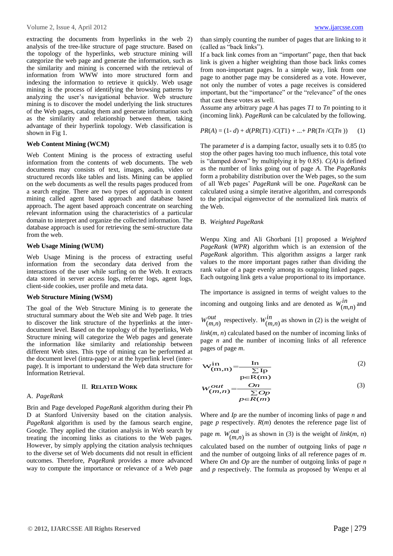extracting the documents from hyperlinks in the web 2) analysis of the tree-like structure of page structure. Based on the topology of the hyperlinks, web structure mining will categorize the web page and generate the information, such as the similarity and mining is concerned with the retrieval of information from WWW into more structured form and indexing the information to retrieve it quickly. Web usage mining is the process of identifying the browsing patterns by analyzing the user's navigational behavior. Web structure mining is to discover the model underlying the link structures of the Web pages, catalog them and generate information such as the similarity and relationship between them, taking advantage of their hyperlink topology. Web classification is shown in Fig 1.

# **Web Content Mining (WCM)**

Web Content Mining is the process of extracting useful information from the contents of web documents. The web documents may consists of text, images, audio, video or structured records like tables and lists. Mining can be applied on the web documents as well the results pages produced from a search engine. There are two types of approach in content mining called agent based approach and database based approach. The agent based approach concentrate on searching relevant information using the characteristics of a particular domain to interpret and organize the collected information. The database approach is used for retrieving the semi-structure data from the web.

# **Web Usage Mining (WUM)**

Web Usage Mining is the process of extracting useful information from the secondary data derived from the interactions of the user while surfing on the Web. It extracts data stored in server access logs, referrer logs, agent logs, client-side cookies, user profile and meta data.

#### **Web Structure Mining (WSM)**

The goal of the Web Structure Mining is to generate the structural summary about the Web site and Web page. It tries to discover the link structure of the hyperlinks at the interdocument level. Based on the topology of the hyperlinks, Web Structure mining will categorize the Web pages and generate the information like similarity and relationship between different Web sites. This type of mining can be performed at the document level (intra-page) or at the hyperlink level (interpage). It is important to understand the Web data structure for Information Retrieval.

# II. **RELATED WORK**

# A. *PageRank*

Brin and Page developed *PageRank* algorithm during their Ph D at Stanford University based on the citation analysis. *PageRank* algorithm is used by the famous search engine, Google. They applied the citation analysis in Web search by treating the incoming links as citations to the Web pages. However, by simply applying the citation analysis techniques to the diverse set of Web documents did not result in efficient outcomes. Therefore, *PageRank* provides a more advanced way to compute the importance or relevance of a Web page than simply counting the number of pages that are linking to it (called as "back links").

If a back link comes from an "important" page, then that back link is given a higher weighting than those back links comes from non-important pages. In a simple way, link from one page to another page may be considered as a vote. However, not only the number of votes a page receives is considered important, but the "importance" or the "relevance" of the ones that cast these votes as well.

Assume any arbitrary page *A* has pages *T1* to *Tn* pointing to it (incoming link). *PageRank* can be calculated by the following.

$$
PR(A) = (1 - d) + d(PR(T1) / C(T1) + ... + PR(Tn / C(Tn))
$$
 (1)

The parameter *d* is a damping factor, usually sets it to 0.85 (to stop the other pages having too much influence, this total vote is "damped down" by multiplying it by 0.85). *C(A)* is defined as the number of links going out of page *A*. The *PageRanks*  form a probability distribution over the Web pages, so the sum of all Web pages' *PageRank* will be one. *PageRank* can be calculated using a simple iterative algorithm, and corresponds to the principal eigenvector of the normalized link matrix of the Web.

# B. *Weighted PageRank*

Wenpu Xing and Ali Ghorbani [1] proposed a *Weighted PageRank* (*WPR*) algorithm which is an extension of the *PageRank* algorithm. This algorithm assigns a larger rank values to the more important pages rather than dividing the rank value of a page evenly among its outgoing linked pages. Each outgoing link gets a value proportional to its importance.

The importance is assigned in terms of weight values to the incoming and outgoing links and are denoted as  $W_{\text{cm}}^{in}$  $W^{1n}_{(m,n)}$  and

*out*  $W_{(m,n)}^{out}$  respectively.  $W_{(m,n)}^{in}$  $W_{(m,n)}^{th}$  as shown in (2) is the weight of

*link*(*m, n*) calculated based on the number of incoming links of page *n* and the number of incoming links of all reference pages of page *m*.

$$
W_{(m,n)}^{in} = \frac{\ln}{\sum p} \tag{2}
$$
\n
$$
p \in R(m)
$$

$$
W_{(m,n)}^{out} = \frac{On}{\sum_{p \in R(m)}} \tag{3}
$$

Where and *Ip* are the number of incoming links of page *n* and page *p* respectively. *R*(*m*) denotes the reference page list of page *m.*  $W_{\ell m}^{out}$  $W_{(m,n)}^{out}$  is as shown in (3) is the weight of *link*(*m, n*) calculated based on the number of outgoing links of page *n*  and the number of outgoing links of all reference pages of *m*. Where *On* and *Op* are the number of outgoing links of page *n*  and *p* respectively. The formula as proposed by Wenpu et al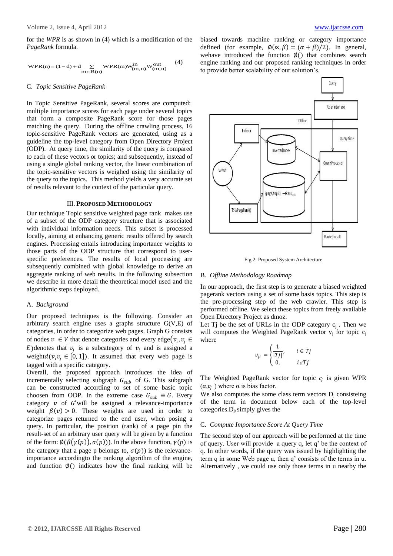for the *WPR* is as shown in (4) which is a modification of the *PageRank* formula.

$$
\mathrm{WPR}(n) = (1-d) + d \sum_{m \in B(n)} \mathrm{WPR}(m) \mathbf{W}_{(m,n)}^{in} \mathbf{W}_{(m,n)}^{out} \tag{4}
$$

#### C. *Topic Sensitive PageRank*

In Topic Sensitive PageRank, several scores are computed: multiple importance scores for each page under several topics that form a composite PageRank score for those pages matching the query. During the offline crawling process, 16 topic-sensitive PageRank vectors are generated, using as a guideline the top-level category from Open Directory Project (ODP). At query time, the similarity of the query is compared to each of these vectors or topics; and subsequently, instead of using a single global ranking vector, the linear combination of the topic-sensitive vectors is weighed using the similarity of the query to the topics. This method yields a very accurate set of results relevant to the context of the particular query.

#### III. **PROPOSED METHODOLOGY**

Our technique Topic sensitive weighted page rank makes use of a subset of the ODP category structure that is associated with individual information needs. This subset is processed locally, aiming at enhancing generic results offered by search engines. Processing entails introducing importance weights to those parts of the ODP structure that correspond to userspecific preferences. The results of local processing are subsequently combined with global knowledge to derive an aggregate ranking of web results. In the following subsection we describe in more detail the theoretical model used and the algorithmic steps deployed.

#### A. *Background*

Our proposed techniques is the following. Consider an arbitrary search engine uses a graphs structure G(V,E) of categories, in order to categorize web pages. Graph G consists of nodes  $v \in V$  that denote categories and every edge $(v_i, v_j \in V)$ E)denotes that  $v_j$  is a subcategory of  $v_i$  and is assigned a weight $d(v_i v_i \in [0, 1])$ . It assumed that every web page is tagged with a specific category.

Overall, the proposed approach introduces the idea of incrementally selecting subgraph  $G_{sub}$  of G. This subgraph can be constructed according to set of some basic topic choosen from ODP. In the extreme case  $G_{sub} \equiv G$ . Every category  $v$  of  $G'$  will be assigned a relevance-importance weight  $\beta(v) > 0$ . These weights are used in order to categorize pages returned to the end user, when posing a query. In particular, the position (rank) of a page pin the result-set of an arbitrary user query will be given by a function of the form:  $\phi(\beta(\gamma(p)), \sigma(p))$ . In the above function,  $\gamma(p)$  is the category that a page p belongs to,  $\sigma(p)$ ) is the relevanceimportance accordingto the ranking algorithm of the engine, and function  $\emptyset()$  indicates how the final ranking will be biased towards machine ranking or category importance defined (for example,  $\phi(\alpha, \beta) = (\alpha + \beta)/2$ ). In general, wehave introduced the function  $\phi$ () that combines search engine ranking and our proposed ranking techniques in order to provide better scalability of our solution's.



Fig 2: Proposed System Architecture

# B. *Offline Methodology Roadmap*

In our approach, the first step is to generate a biased weighted pagerank vectors using a set of some basis topics. This step is the pre-processing step of the web crawler. This step is performed offline. We select these topics from freely available Open Directory Project as dmoz.

Let Tj be the set of URLs in the ODP category  $c_j$ . Then we will computes the Weighted PageRank vector  $v_i$  for topic  $c_i$ where

$$
v_{ji} = \begin{cases} \frac{1}{|Tj|}, & i \in Tj\\ 0, & i \notin Tj \end{cases}
$$

The Weighted PageRank vector for topic  $c_j$  is given WPR  $(\alpha, v_j)$  where  $\alpha$  is bias factor.

We also computes the some class term vectors  $D_i$  consisteing of the term in document below each of the top-level categories. $D_{it}$  simply gives the

#### C. *Compute Importance Score At Query Time*

The second step of our approach will be performed at the time of query. User will provide a query q, let q' be the context of q. In other words, if the query was issued by highlighting the term q in some Web page u, then q' consists of the terms in u. Alternatively , we could use only those terms in u nearby the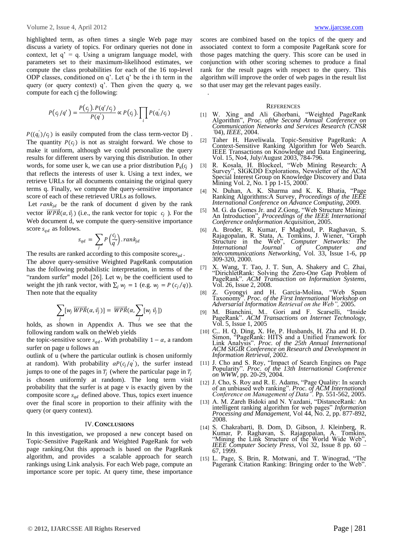highlighted term, as often times a single Web page may discuss a variety of topics. For ordinary queries not done in context, let  $q' = q$ . Using a unigram language model, with parameters set to their maximum-likelihood estimates, we compute the class probabilities for each of the 16 top-level ODP classes, conditioned on q'. Let q' be the i th term in the query (or query context) q'. Then given the query q, we compute for each cj the following:

$$
P(c_j/q') = \frac{P(c_j) \cdot P(q'/c_j)}{P(q')} \propto P(c_j) \cdot \prod_i P(q'_i/c_j)
$$

 $P((q_i)/c_j)$  is easily computed from the class term-vector Dj. The quantity  $P(c_i)$  is not as straight forward. We chose to make it uniform, although we could personalize the query results for different users by varying this distribution. In other words, for some user k, we can use a prior distribution  $P_k(c_j)$ that reflects the interests of user k. Using a text index, we retrieve URLs for all documents containing the original query terms q. Finally, we compute the query-sensitive importance score of each of these retrieved URLs as follows.

Let  $rank_{id}$  be the rank of document d given by the rank vector  $\overrightarrow{WPR}(\alpha, \vec{v}_j)$  (i.e., the rank vector for topic  $c_j$ ). For the Web document d, we compute the query-sensitive importance score  $s_{ad}$  as follows.

$$
s_{qd} = \sum_{j} P\left(\frac{c_j}{q}\right).rank_{jd}
$$

The results are ranked according to this composite scores<sub>ad</sub>.

The above query-sensitive Weighted PageRank computation has the following probabilistic interpretation, in terms of the "random surfer" model [26]. Let  $w_j$  be the coefficient used to weight the jth rank vector, with  $\sum_i w_i = 1$  (e.g.  $w_i = P(c_i/q)$ ). Then note that the equality

$$
\sum_j [w_j \overrightarrow{WPR}(\alpha, \vec{v}_j)] = \overrightarrow{WPR}(\alpha, \sum_j [w_j \vec{v}_j])
$$

holds, as shown in Appendix A. Thus we see that the following random walk on theWeb yields

the topic-sensitive score  $s_{ad}$ . With probability 1 –  $\alpha$ , a random surfer on page u follows an

outlink of u (where the particular outlink is chosen uniformly at random). With probability  $\alpha P(c_j/q')$ , the surfer instead jumps to one of the pages in  $T_j$  (where the particular page in  $T_j$ is chosen uniformly at random). The long term visit probability that the surfer is at page v is exactly given by the composite score  $s_{qd}$  defined above. Thus, topics exert inuence over the final score in proportion to their affinity with the query (or query context).

# IV.**CONCLUSIONS**

In this investigation, we proposed a new concept based on Topic-Sensitive PageRank and Weighted PageRank for web page ranking.Out this approach is based on the PageRank algorithm, and provides a scalable approach for search rankings using Link analysis. For each Web page, compute an importance score per topic. At query time, these importance

scores are combined based on the topics of the query and associated context to form a composite PageRank score for those pages matching the query. This score can be used in conjunction with other scoring schemes to produce a final rank for the result pages with respect to the query. This algorithm will improve the order of web pages in the result list so that user may get the relevant pages easily.

#### **REFERENCES**

.

- [1] W. Xing and Ali Ghorbani, "Weighted PageRank Algorithm", *Proc. ofthe Second Annual Conference on Communication Networks and Services Research (CNSR '*04), *IEEE*, 2004.
- [2] Taher H. Haveliwala. Topic-Sensitive PageRank: A Context-Sensitive Ranking Algorithm for Web Search. IEEE Transactions on Knowledge and Data Engineering, Vol. 15, No4, July/August 2003, 784-796.
- [3] R. Kosala, H. Blockeel, "Web Mining Research: A Survey", SIGKDD Explorations, Newsletter of the ACM Special Interest Group on Knowledge Discovery and Data Mining Vol. 2, No. 1 pp 1-15, 2000.
- [4] N. Duhan, A. K. Sharma and K. K. Bhatia, "Page Ranking Algorithms:A Survey, *Proceedings of the IEEE International Conference on Advance Computing*, 2009.
- [5] M. G. da Gomes Jr. and Z.Gong, "Web Structure Mining: An Introduction", *Proceedings of the IEEE International Conference onInformation Acquisition*, 2005.
- [6] A. Broder, R. Kumar, F Maghoul, P. Raghavan, S. Rajagopalan, R. Stata, A. Tomkins, J. Wiener, "Graph Structure in the Web", *Computer Networks: The International Journal of Computer and telecommunications Networking*, Vol. 33, Issue 1-6, pp 309-320, 2000.
- [7] X. Wang, T. Tao, J. T. Sun, A. Shakery and C. Zhai, "DirichletRank: Solving the Zero-One Gap Problem of PageRank". *ACM Transaction on Information Systems,*  Vol. 26, Issue 2, 2008.
- [8] Z. Gyongyi and H. Garcia-Molina, "Web Spam Taxonomy". *Proc. of the First International Workshop on Adversarial Information Retrieval on the Web",* 2005.
- [9] M. Bianchini, M.. Gori and F. Scarselli, "Inside PageRank". *ACM Transactions on Internet Technology,*  Vol. 5, Issue 1, 2005
- [10] C.. H. Q. Ding, X. He, P. Husbands, H. Zha and H. D. Simon, "PageRank: HITS and a Unified Framework for Link Analysis". *Proc. of the 25th Annual International ACM SIGIR Conference on Research and Development in Information Retrieval,* 2002.
- [11] J. Cho and S. Roy, "Impact of Search Engines on Page Popularity". *Proc. of the 13th International Conference on WWW,* pp. 20-29, 2004.
- [12] J. Cho, S. Roy and R. E. Adams, "Page Quality: In search of an unbiased web ranking". *Proc. of ACM International Conference on Management of Data".* Pp. 551-562, 2005.
- [13] A. M. Zareh Bidoki and N. Yazdani, "DistanceRank: An intelligent ranking algorithm for web pages" *Information Processing and Management*, Vol 44, No. 2, pp. 877-892, 2008.
- [14] S. Chakrabarti, B. Dom, D. Gibson, J. Kleinberg, R. Kumar, P. Raghavan, S. Rajagopalan, A. Tomkins, "Mining the Link Structure of the World Wide Web", *IEEE Computer Society Press*, Vol 32, Issue 8 pp. 60 – 67, 1999.
- [15] L. Page, S. Brin, R. Motwani, and T. Winograd, "The Pagerank Citation Ranking: Bringing order to the Web".